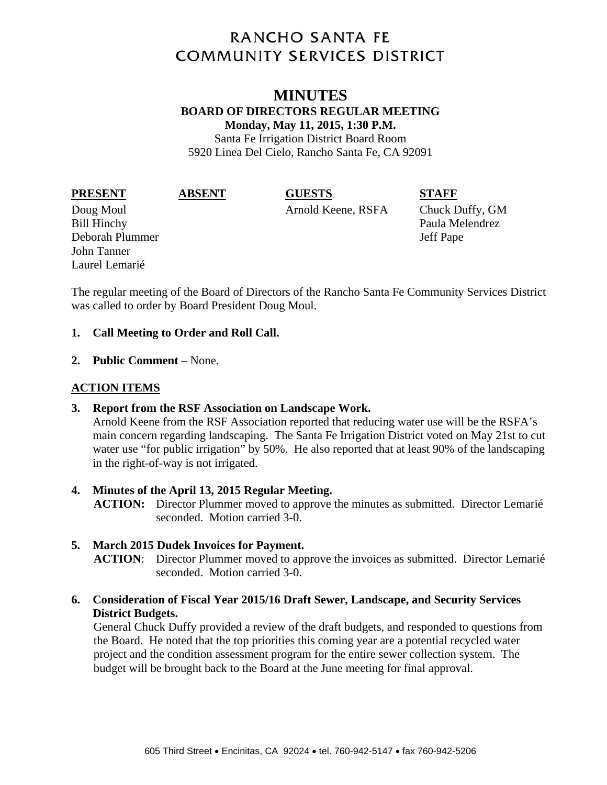# **RANCHO SANTA FE COMMUNITY SERVICES DISTRICT**

## **MINUTES BOARD OF DIRECTORS REGULAR MEETING Monday, May 11, 2015, 1:30 P.M.**

Santa Fe Irrigation District Board Room 5920 Linea Del Cielo, Rancho Santa Fe, CA 92091

**PRESENT ABSENT GUESTS STAFF** 

Bill Hinchy Paula Melendrez Deborah Plummer Jeff Pape John Tanner Laurel Lemarié

Doug Moul Arnold Keene, RSFA Chuck Duffy, GM

The regular meeting of the Board of Directors of the Rancho Santa Fe Community Services District was called to order by Board President Doug Moul.

### **1. Call Meeting to Order and Roll Call.**

**2. Public Comment** – None.

# **ACTION ITEMS**

#### **3. Report from the RSF Association on Landscape Work.**

Arnold Keene from the RSF Association reported that reducing water use will be the RSFA's main concern regarding landscaping. The Santa Fe Irrigation District voted on May 21st to cut water use "for public irrigation" by 50%. He also reported that at least 90% of the landscaping in the right-of-way is not irrigated.

#### **4. Minutes of the April 13, 2015 Regular Meeting.**

**ACTION:** Director Plummer moved to approve the minutes as submitted. Director Lemarié seconded. Motion carried 3-0.

#### **5. March 2015 Dudek Invoices for Payment.**

**ACTION**: Director Plummer moved to approve the invoices as submitted. Director Lemarié seconded. Motion carried 3-0.

### **6. Consideration of Fiscal Year 2015/16 Draft Sewer, Landscape, and Security Services District Budgets.**

General Chuck Duffy provided a review of the draft budgets, and responded to questions from the Board. He noted that the top priorities this coming year are a potential recycled water project and the condition assessment program for the entire sewer collection system. The budget will be brought back to the Board at the June meeting for final approval.